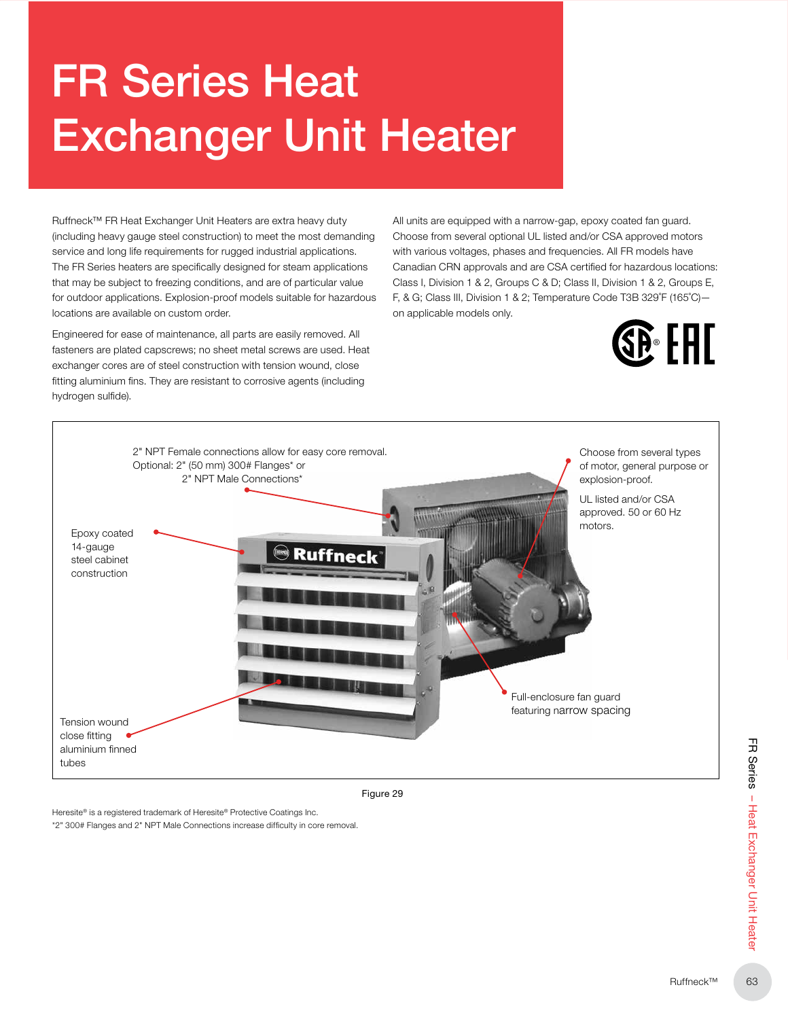# FR Series Heat Exchanger Unit Heater

Ruffneck™ FR Heat Exchanger Unit Heaters are extra heavy duty (including heavy gauge steel construction) to meet the most demanding service and long life requirements for rugged industrial applications. The FR Series heaters are specifically designed for steam applications that may be subject to freezing conditions, and are of particular value for outdoor applications. Explosion-proof models suitable for hazardous locations are available on custom order.

Engineered for ease of maintenance, all parts are easily removed. All fasteners are plated capscrews; no sheet metal screws are used. Heat exchanger cores are of steel construction with tension wound, close fitting aluminium fins. They are resistant to corrosive agents (including hydrogen sulfide).

All units are equipped with a narrow-gap, epoxy coated fan guard. Choose from several optional UL listed and/or CSA approved motors with various voltages, phases and frequencies. All FR models have Canadian CRN approvals and are CSA certified for hazardous locations: Class I, Division 1 & 2, Groups C & D; Class II, Division 1 & 2, Groups E, F, & G; Class III, Division 1 & 2; Temperature Code T3B 329˚F (165˚C) on applicable models only.





Figure 29

Heresite® is a registered trademark of Heresite® Protective Coatings Inc. \*2" 300# Flanges and 2" NPT Male Connections increase difficulty in core removal.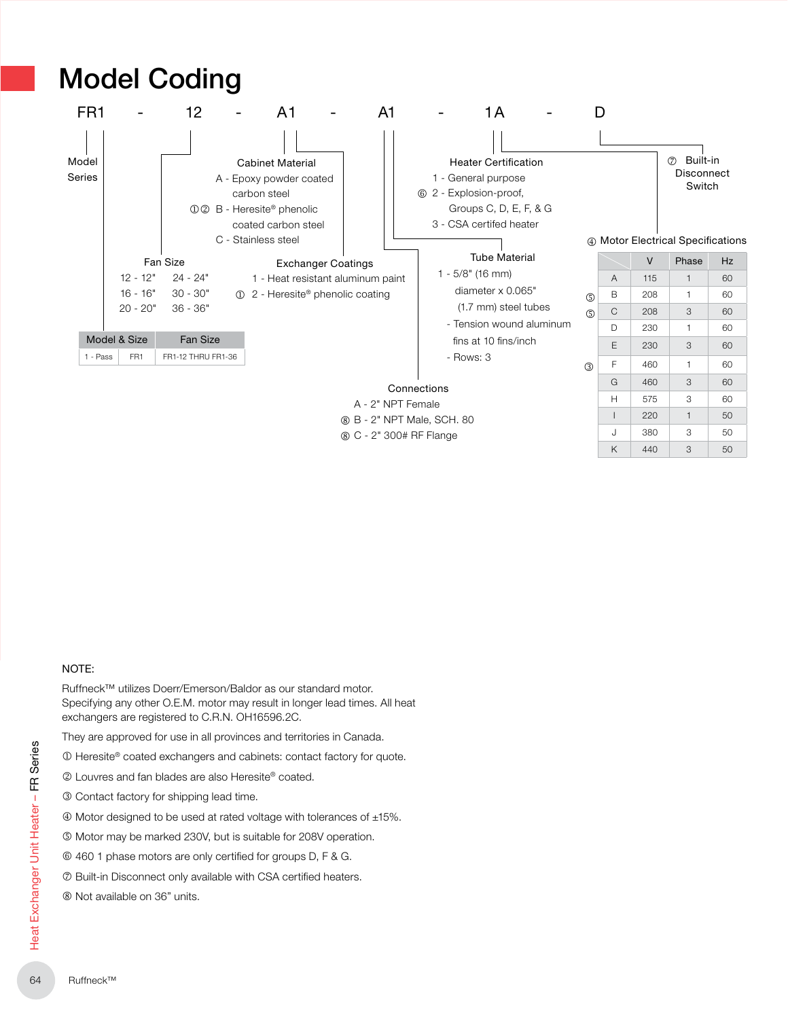

#### NOTE:

Ruffneck™ utilizes Doerr/Emerson/Baldor as our standard motor. Specifying any other O.E.M. motor may result in longer lead times. All heat exchangers are registered to C.R.N. OH16596.2C.

They are approved for use in all provinces and territories in Canada.

 $\Phi$  Heresite® coated exchangers and cabinets: contact factory for quote.

2 Louvres and fan blades are also Heresite® coated.

- **3 Contact factory for shipping lead time.**
- $\textcircled{4}$  Motor designed to be used at rated voltage with tolerances of  $\pm 15\%$ .
- $\circledR$  Motor may be marked 230V, but is suitable for 208V operation.
- $@$  460 1 phase motors are only certified for groups D, F & G.
- $\oslash$  Built-in Disconnect only available with CSA certified heaters.
- $@$  Not available on 36" units.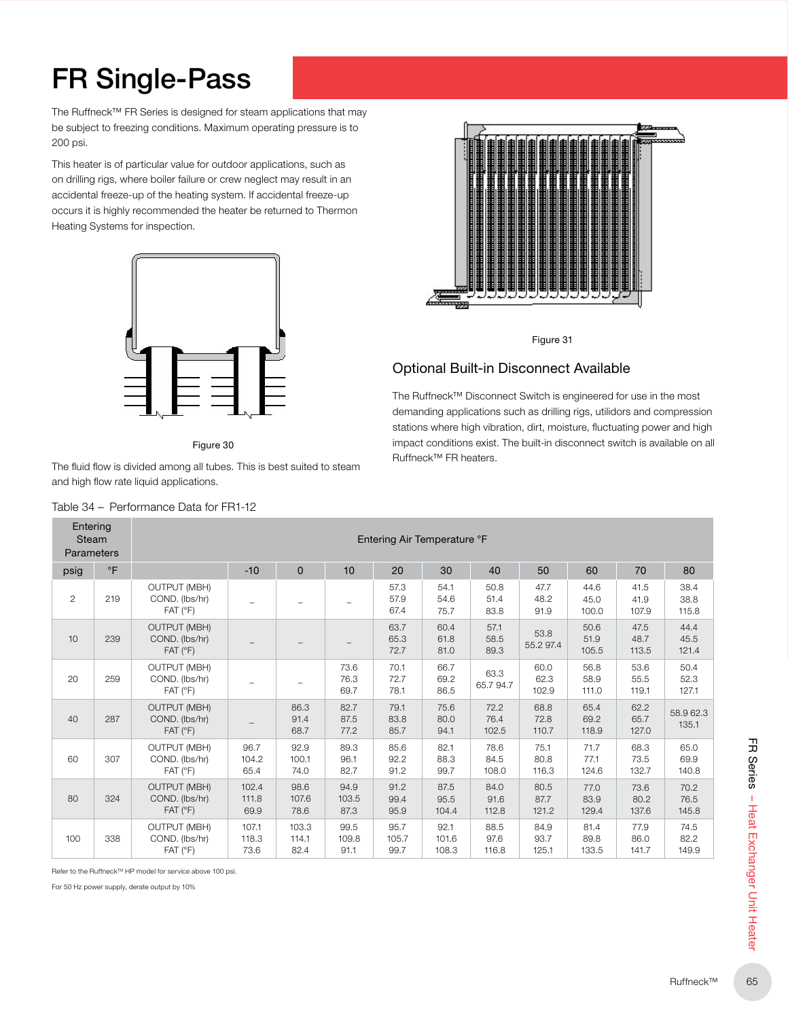## FR Single-Pass

The Ruffneck™ FR Series is designed for steam applications that may be subject to freezing conditions. Maximum operating pressure is to 200 psi.

This heater is of particular value for outdoor applications, such as on drilling rigs, where boiler failure or crew neglect may result in an accidental freeze-up of the heating system. If accidental freeze-up occurs it is highly recommended the heater be returned to Thermon Heating Systems for inspection.



Figure 30

The fluid flow is divided among all tubes. This is best suited to steam and high flow rate liquid applications.



Entering

T.



Figure 31

#### Optional Built-in Disconnect Available

The Ruffneck™ Disconnect Switch is engineered for use in the most demanding applications such as drilling rigs, utilidors and compression stations where high vibration, dirt, moisture, fluctuating power and high impact conditions exist. The built-in disconnect switch is available on all Ruffneck™ FR heaters.

| <b>Steam</b><br>Parameters |                     | Entering Air Temperature °F<br>$-10$<br>$\pmb{0}$<br>10<br>40<br>80<br>20<br>30<br>50<br>60<br>70<br><b>OUTPUT (MBH)</b><br>57.3<br>50.8<br>44.6<br>41.5<br>38.4<br>54.1<br>47.7<br>COND. (lbs/hr)<br>57.9<br>54.6<br>48.2<br>45.0<br>41.9<br>38.8<br>51.4<br>$\qquad \qquad -$<br>FAT (°F)<br>67.4<br>75.7<br>83.8<br>91.9<br>100.0<br>107.9<br>115.8<br><b>OUTPUT (MBH)</b><br>63.7<br>60.4<br>50.6<br>44.4<br>57.1<br>47.5<br>53.8<br>COND. (lbs/hr)<br>65.3<br>61.8<br>58.5<br>51.9<br>48.7<br>45.5<br>55.297.4<br>FAT (°F)<br>72.7<br>81.0<br>89.3<br>105.5<br>113.5<br>121.4 |                        |                        |                       |                       |                        |                       |                       |                       |                       |                       |
|----------------------------|---------------------|------------------------------------------------------------------------------------------------------------------------------------------------------------------------------------------------------------------------------------------------------------------------------------------------------------------------------------------------------------------------------------------------------------------------------------------------------------------------------------------------------------------------------------------------------------------------------------|------------------------|------------------------|-----------------------|-----------------------|------------------------|-----------------------|-----------------------|-----------------------|-----------------------|-----------------------|
| psig                       | $^\circ \mathsf{F}$ |                                                                                                                                                                                                                                                                                                                                                                                                                                                                                                                                                                                    |                        |                        |                       |                       |                        |                       |                       |                       |                       |                       |
| $\overline{2}$             | 219                 |                                                                                                                                                                                                                                                                                                                                                                                                                                                                                                                                                                                    |                        |                        |                       |                       |                        |                       |                       |                       |                       |                       |
| 10                         | 239                 |                                                                                                                                                                                                                                                                                                                                                                                                                                                                                                                                                                                    |                        |                        |                       |                       |                        |                       |                       |                       |                       |                       |
| 20                         | 259                 | <b>OUTPUT (MBH)</b><br>COND. (lbs/hr)<br>FAT (°F)                                                                                                                                                                                                                                                                                                                                                                                                                                                                                                                                  |                        |                        | 73.6<br>76.3<br>69.7  | 70.1<br>72.7<br>78.1  | 66.7<br>69.2<br>86.5   | 63.3<br>65.794.7      | 60.0<br>62.3<br>102.9 | 56.8<br>58.9<br>111.0 | 53.6<br>55.5<br>119.1 | 50.4<br>52.3<br>127.1 |
| 40                         | 287                 | <b>OUTPUT (MBH)</b><br>COND. (lbs/hr)<br>FAT (°F)                                                                                                                                                                                                                                                                                                                                                                                                                                                                                                                                  |                        | 86.3<br>91.4<br>68.7   | 82.7<br>87.5<br>77.2  | 79.1<br>83.8<br>85.7  | 75.6<br>80.0<br>94.1   | 72.2<br>76.4<br>102.5 | 68.8<br>72.8<br>110.7 | 65.4<br>69.2<br>118.9 | 62.2<br>65.7<br>127.0 | 58.9 62.3<br>135.1    |
| 60                         | 307                 | <b>OUTPUT (MBH)</b><br>COND. (lbs/hr)<br>FAT (°F)                                                                                                                                                                                                                                                                                                                                                                                                                                                                                                                                  | 96.7<br>104.2<br>65.4  | 92.9<br>100.1<br>74.0  | 89.3<br>96.1<br>82.7  | 85.6<br>92.2<br>91.2  | 82.1<br>88.3<br>99.7   | 78.6<br>84.5<br>108.0 | 75.1<br>80.8<br>116.3 | 71.7<br>77.1<br>124.6 | 68.3<br>73.5<br>132.7 | 65.0<br>69.9<br>140.8 |
| 80                         | 324                 | <b>OUTPUT (MBH)</b><br>COND. (lbs/hr)<br>FAT (°F)                                                                                                                                                                                                                                                                                                                                                                                                                                                                                                                                  | 102.4<br>111.8<br>69.9 | 98.6<br>107.6<br>78.6  | 94.9<br>103.5<br>87.3 | 91.2<br>99.4<br>95.9  | 87.5<br>95.5<br>104.4  | 84.0<br>91.6<br>112.8 | 80.5<br>87.7<br>121.2 | 77.0<br>83.9<br>129.4 | 73.6<br>80.2<br>137.6 | 70.2<br>76.5<br>145.8 |
| 100                        | 338                 | <b>OUTPUT (MBH)</b><br>COND. (lbs/hr)<br>FAT (°F)                                                                                                                                                                                                                                                                                                                                                                                                                                                                                                                                  | 107.1<br>118.3<br>73.6 | 103.3<br>114.1<br>82.4 | 99.5<br>109.8<br>91.1 | 95.7<br>105.7<br>99.7 | 92.1<br>101.6<br>108.3 | 88.5<br>97.6<br>116.8 | 84.9<br>93.7<br>125.1 | 81.4<br>89.8<br>133.5 | 77.9<br>86.0<br>141.7 | 74.5<br>82.2<br>149.9 |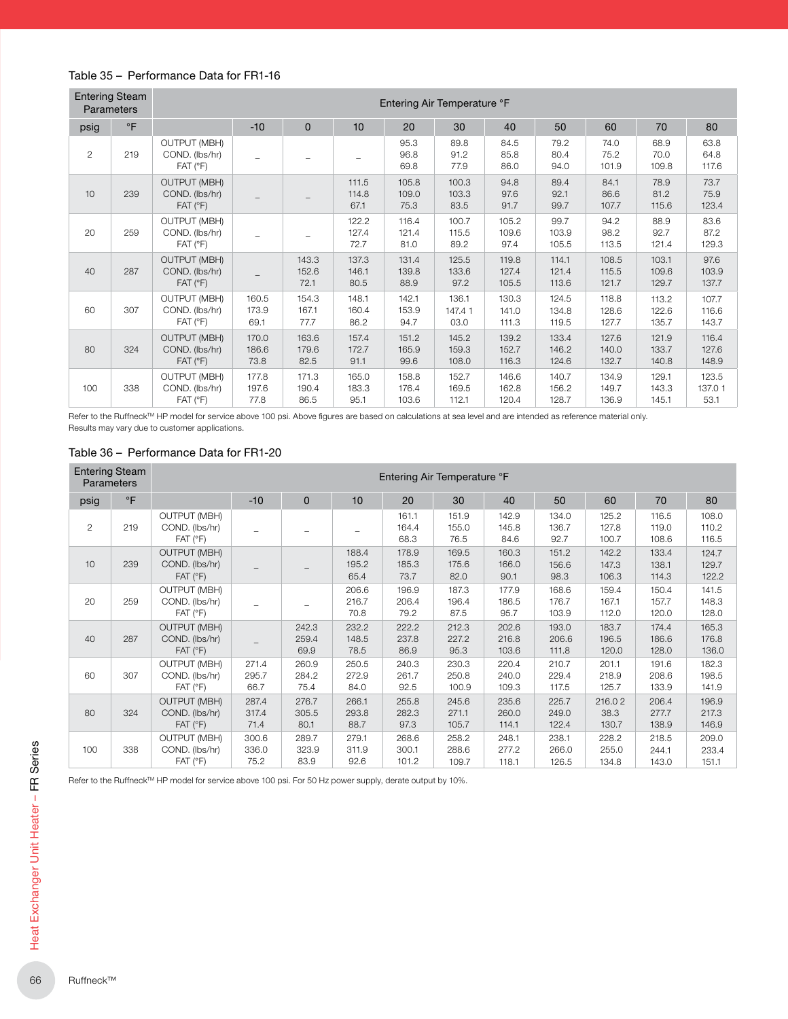#### Table 35 – Performance Data for FR1-16

| <b>Entering Steam</b><br><b>Parameters</b> |           | Entering Air Temperature °F                                      |                          |                        |                        |                         |                         |                         |                         |                         |                         |                         |
|--------------------------------------------|-----------|------------------------------------------------------------------|--------------------------|------------------------|------------------------|-------------------------|-------------------------|-------------------------|-------------------------|-------------------------|-------------------------|-------------------------|
| psig                                       | $\circ$ F |                                                                  | $-10$                    | $\Omega$               | 10                     | 20                      | 30                      | 40                      | 50                      | 60                      | 70                      | 80                      |
| $\overline{c}$                             | 219       | <b>OUTPUT (MBH)</b><br>COND. (lbs/hr)<br>$FAT$ ( ${}^{\circ}F$ ) | $\overline{\phantom{m}}$ |                        |                        | 95.3<br>96.8<br>69.8    | 89.8<br>91.2<br>77.9    | 84.5<br>85.8<br>86.0    | 79.2<br>80.4<br>94.0    | 74.0<br>75.2<br>101.9   | 68.9<br>70.0<br>109.8   | 63.8<br>64.8<br>117.6   |
| 10                                         | 239       | <b>OUTPUT (MBH)</b><br>COND. (lbs/hr)<br>$FAT$ ( ${}^{\circ}F$ ) |                          |                        | 111.5<br>114.8<br>67.1 | 105.8<br>109.0<br>75.3  | 100.3<br>103.3<br>83.5  | 94.8<br>97.6<br>91.7    | 89.4<br>92.1<br>99.7    | 84.1<br>86.6<br>107.7   | 78.9<br>81.2<br>115.6   | 73.7<br>75.9<br>123.4   |
| 20                                         | 259       | <b>OUTPUT (MBH)</b><br>COND. (lbs/hr)<br>$FAT$ ( ${}^{\circ}F$ ) |                          |                        | 122.2<br>127.4<br>72.7 | 116.4<br>121.4<br>81.0  | 100.7<br>115.5<br>89.2  | 105.2<br>109.6<br>97.4  | 99.7<br>103.9<br>105.5  | 94.2<br>98.2<br>113.5   | 88.9<br>92.7<br>121.4   | 83.6<br>87.2<br>129.3   |
| 40                                         | 287       | <b>OUTPUT (MBH)</b><br>COND. (lbs/hr)<br>$FAT$ ( ${}^{\circ}F$ ) |                          | 143.3<br>152.6<br>72.1 | 137.3<br>146.1<br>80.5 | 131.4<br>139.8<br>88.9  | 125.5<br>133.6<br>97.2  | 119.8<br>127.4<br>105.5 | 114.1<br>121.4<br>113.6 | 108.5<br>115.5<br>121.7 | 103.1<br>109.6<br>129.7 | 97.6<br>103.9<br>137.7  |
| 60                                         | 307       | <b>OUTPUT (MBH)</b><br>COND. (lbs/hr)<br>$FAT$ ( ${}^{\circ}F$ ) | 160.5<br>173.9<br>69.1   | 154.3<br>167.1<br>77.7 | 148.1<br>160.4<br>86.2 | 142.1<br>153.9<br>94.7  | 136.1<br>147.41<br>03.0 | 130.3<br>141.0<br>111.3 | 124.5<br>134.8<br>119.5 | 118.8<br>128.6<br>127.7 | 113.2<br>122.6<br>135.7 | 107.7<br>116.6<br>143.7 |
| 80                                         | 324       | <b>OUTPUT (MBH)</b><br>COND. (Ibs/hr)<br>FAT (°F)                | 170.0<br>186.6<br>73.8   | 163.6<br>179.6<br>82.5 | 157.4<br>172.7<br>91.1 | 151.2<br>165.9<br>99.6  | 145.2<br>159.3<br>108.0 | 139.2<br>152.7<br>116.3 | 133.4<br>146.2<br>124.6 | 127.6<br>140.0<br>132.7 | 121.9<br>133.7<br>140.8 | 116.4<br>127.6<br>148.9 |
| 100                                        | 338       | <b>OUTPUT (MBH)</b><br>COND. (lbs/hr)<br>$FAT$ ( ${}^{\circ}F$ ) | 177.8<br>197.6<br>77.8   | 171.3<br>190.4<br>86.5 | 165.0<br>183.3<br>95.1 | 158.8<br>176.4<br>103.6 | 152.7<br>169.5<br>112.1 | 146.6<br>162.8<br>120.4 | 140.7<br>156.2<br>128.7 | 134.9<br>149.7<br>136.9 | 129.1<br>143.3<br>145.1 | 123.5<br>137.01<br>53.1 |

Refer to the Ruffneck™ HP model for service above 100 psi. Above figures are based on calculations at sea level and are intended as reference material only. Results may vary due to customer applications.

|  | Table 36 - Performance Data for FR1-20 |  |  |  |
|--|----------------------------------------|--|--|--|
|--|----------------------------------------|--|--|--|

| <b>Entering Steam</b><br>Parameters |           | Entering Air Temperature °F                                      |                        |                        |                        |                         |                         |                         |                         |                         |                         |                         |  |
|-------------------------------------|-----------|------------------------------------------------------------------|------------------------|------------------------|------------------------|-------------------------|-------------------------|-------------------------|-------------------------|-------------------------|-------------------------|-------------------------|--|
| psig                                | $\circ$ F |                                                                  | $-10$                  | $\mathbf{0}$           | 10                     | 20                      | 30                      | 40                      | 50                      | 60                      | 70                      | 80                      |  |
| $\overline{2}$                      | 219       | <b>OUTPUT (MBH)</b><br>COND. (lbs/hr)<br>$FAT$ ( ${}^{\circ}F$ ) |                        |                        |                        | 161.1<br>164.4<br>68.3  | 151.9<br>155.0<br>76.5  | 142.9<br>145.8<br>84.6  | 134.0<br>136.7<br>92.7  | 125.2<br>127.8<br>100.7 | 116.5<br>119.0<br>108.6 | 108.0<br>110.2<br>116.5 |  |
| 10                                  | 239       | <b>OUTPUT (MBH)</b><br>COND. (lbs/hr)<br>$FAT$ ( ${}^{\circ}F$ ) |                        |                        | 188.4<br>195.2<br>65.4 | 178.9<br>185.3<br>73.7  | 169.5<br>175.6<br>82.0  | 160.3<br>166.0<br>90.1  | 151.2<br>156.6<br>98.3  | 142.2<br>147.3<br>106.3 | 133.4<br>138.1<br>114.3 | 124.7<br>129.7<br>122.2 |  |
| 20                                  | 259       | <b>OUTPUT (MBH)</b><br>COND. (lbs/hr)<br>FAT (°F)                | L.                     |                        | 206.6<br>216.7<br>70.8 | 196.9<br>206.4<br>79.2  | 187.3<br>196.4<br>87.5  | 177.9<br>186.5<br>95.7  | 168.6<br>176.7<br>103.9 | 159.4<br>167.1<br>112.0 | 150.4<br>157.7<br>120.0 | 141.5<br>148.3<br>128.0 |  |
| 40                                  | 287       | <b>OUTPUT (MBH)</b><br>COND. (lbs/hr)<br>$FAT$ ( ${}^{\circ}F$ ) |                        | 242.3<br>259.4<br>69.9 | 232.2<br>148.5<br>78.5 | 222.2<br>237.8<br>86.9  | 212.3<br>227.2<br>95.3  | 202.6<br>216.8<br>103.6 | 193.0<br>206.6<br>111.8 | 183.7<br>196.5<br>120.0 | 174.4<br>186.6<br>128.0 | 165.3<br>176.8<br>136.0 |  |
| 60                                  | 307       | <b>OUTPUT (MBH)</b><br>COND. (lbs/hr)<br>$FAT$ ( ${}^{\circ}F$ ) | 271.4<br>295.7<br>66.7 | 260.9<br>284.2<br>75.4 | 250.5<br>272.9<br>84.0 | 240.3<br>261.7<br>92.5  | 230.3<br>250.8<br>100.9 | 220.4<br>240.0<br>109.3 | 210.7<br>229.4<br>117.5 | 201.1<br>218.9<br>125.7 | 191.6<br>208.6<br>133.9 | 182.3<br>198.5<br>141.9 |  |
| 80                                  | 324       | <b>OUTPUT (MBH)</b><br>COND. (lbs/hr)<br>FAT (°F)                | 287.4<br>317.4<br>71.4 | 276.7<br>305.5<br>80.1 | 266.1<br>293.8<br>88.7 | 255.8<br>282.3<br>97.3  | 245.6<br>271.1<br>105.7 | 235.6<br>260.0<br>114.1 | 225.7<br>249.0<br>122.4 | 216.02<br>38.3<br>130.7 | 206.4<br>277.7<br>138.9 | 196.9<br>217.3<br>146.9 |  |
| 100                                 | 338       | <b>OUTPUT (MBH)</b><br>COND. (lbs/hr)<br>$FAT$ ( ${}^{\circ}F$ ) | 300.6<br>336.0<br>75.2 | 289.7<br>323.9<br>83.9 | 279.1<br>311.9<br>92.6 | 268.6<br>300.1<br>101.2 | 258.2<br>288.6<br>109.7 | 248.1<br>277.2<br>118.1 | 238.1<br>266.0<br>126.5 | 228.2<br>255.0<br>134.8 | 218.5<br>244.1<br>143.0 | 209.0<br>233.4<br>151.1 |  |

Refer to the Ruffneck™ HP model for service above 100 psi. For 50 Hz power supply, derate output by 10%.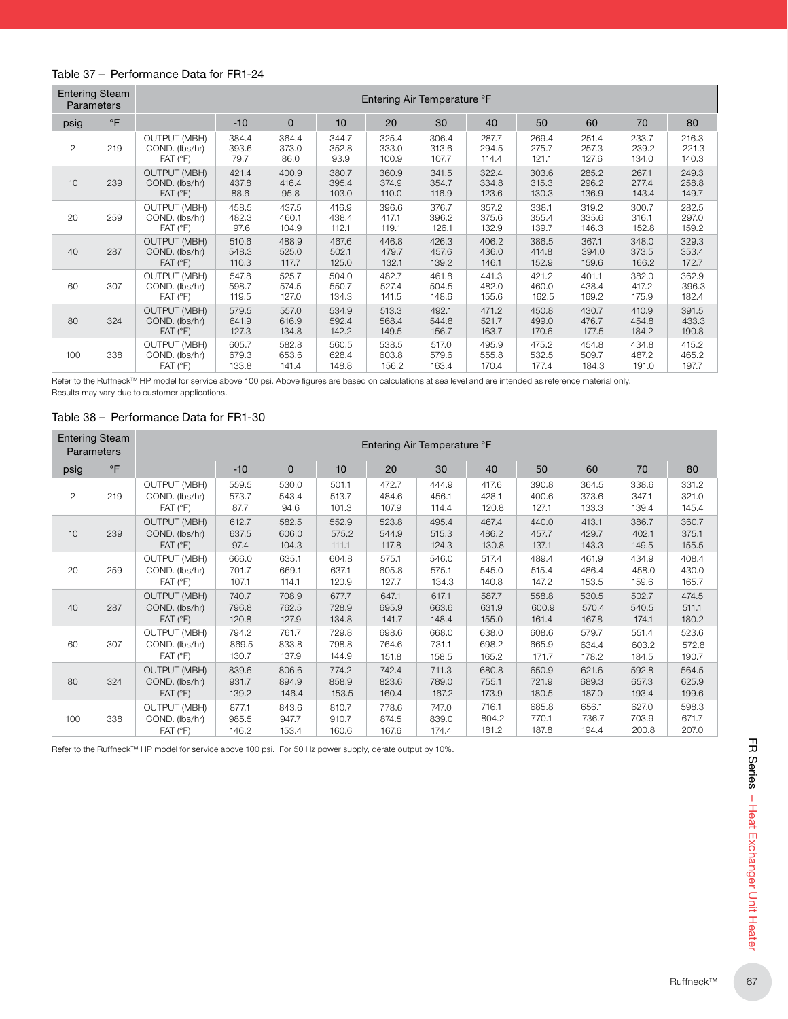#### Table 37 – Performance Data for FR1-24

| <b>Entering Steam</b><br><b>Parameters</b> |           | Entering Air Temperature °F                                      |                         |                         |                         |                         |                         |                         |                         |                         |                         |                         |
|--------------------------------------------|-----------|------------------------------------------------------------------|-------------------------|-------------------------|-------------------------|-------------------------|-------------------------|-------------------------|-------------------------|-------------------------|-------------------------|-------------------------|
| psig                                       | $\circ$ F |                                                                  | $-10$                   | $\mathbf 0$             | 10                      | 20                      | 30                      | 40                      | 50                      | 60                      | 70                      | 80                      |
| $\overline{2}$                             | 219       | <b>OUTPUT (MBH)</b><br>COND. (lbs/hr)<br>$FAT$ ( ${}^{\circ}F$ ) | 384.4<br>393.6<br>79.7  | 364.4<br>373.0<br>86.0  | 344.7<br>352.8<br>93.9  | 325.4<br>333.0<br>100.9 | 306.4<br>313.6<br>107.7 | 287.7<br>294.5<br>114.4 | 269.4<br>275.7<br>121.1 | 251.4<br>257.3<br>127.6 | 233.7<br>239.2<br>134.0 | 216.3<br>221.3<br>140.3 |
| 10                                         | 239       | <b>OUTPUT (MBH)</b><br>COND. (lbs/hr)<br>$FAT$ ( ${}^{\circ}F$ ) | 421.4<br>437.8<br>88.6  | 400.9<br>416.4<br>95.8  | 380.7<br>395.4<br>103.0 | 360.9<br>374.9<br>110.0 | 341.5<br>354.7<br>116.9 | 322.4<br>334.8<br>123.6 | 303.6<br>315.3<br>130.3 | 285.2<br>296.2<br>136.9 | 267.1<br>277.4<br>143.4 | 249.3<br>258.8<br>149.7 |
| 20                                         | 259       | <b>OUTPUT (MBH)</b><br>COND. (lbs/hr)<br>$FAT$ ( ${}^{\circ}F$ ) | 458.5<br>482.3<br>97.6  | 437.5<br>460.1<br>104.9 | 416.9<br>438.4<br>112.1 | 396.6<br>417.1<br>119.1 | 376.7<br>396.2<br>126.1 | 357.2<br>375.6<br>132.9 | 338.1<br>355.4<br>139.7 | 319.2<br>335.6<br>146.3 | 300.7<br>316.1<br>152.8 | 282.5<br>297.0<br>159.2 |
| 40                                         | 287       | <b>OUTPUT (MBH)</b><br>COND. (lbs/hr)<br>$FAT$ ( ${}^{\circ}F$ ) | 510.6<br>548.3<br>110.3 | 488.9<br>525.0<br>117.7 | 467.6<br>502.1<br>125.0 | 446.8<br>479.7<br>132.1 | 426.3<br>457.6<br>139.2 | 406.2<br>436.0<br>146.1 | 386.5<br>414.8<br>152.9 | 367.1<br>394.0<br>159.6 | 348.0<br>373.5<br>166.2 | 329.3<br>353.4<br>172.7 |
| 60                                         | 307       | <b>OUTPUT (MBH)</b><br>COND. (lbs/hr)<br>$FAT$ ( ${}^{\circ}F$ ) | 547.8<br>598.7<br>119.5 | 525.7<br>574.5<br>127.0 | 504.0<br>550.7<br>134.3 | 482.7<br>527.4<br>141.5 | 461.8<br>504.5<br>148.6 | 441.3<br>482.0<br>155.6 | 421.2<br>460.0<br>162.5 | 401.1<br>438.4<br>169.2 | 382.0<br>417.2<br>175.9 | 362.9<br>396.3<br>182.4 |
| 80                                         | 324       | <b>OUTPUT (MBH)</b><br>COND. (lbs/hr)<br>$FAT$ ( ${}^{\circ}F$ ) | 579.5<br>641.9<br>127.3 | 557.0<br>616.9<br>134.8 | 534.9<br>592.4<br>142.2 | 513.3<br>568.4<br>149.5 | 492.1<br>544.8<br>156.7 | 471.2<br>521.7<br>163.7 | 450.8<br>499.0<br>170.6 | 430.7<br>476.7<br>177.5 | 410.9<br>454.8<br>184.2 | 391.5<br>433.3<br>190.8 |
| 100                                        | 338       | <b>OUTPUT (MBH)</b><br>COND. (lbs/hr)<br>$FAT$ ( ${}^{\circ}F$ ) | 605.7<br>679.3<br>133.8 | 582.8<br>653.6<br>141.4 | 560.5<br>628.4<br>148.8 | 538.5<br>603.8<br>156.2 | 517.0<br>579.6<br>163.4 | 495.9<br>555.8<br>170.4 | 475.2<br>532.5<br>177.4 | 454.8<br>509.7<br>184.3 | 434.8<br>487.2<br>191.0 | 415.2<br>465.2<br>197.7 |

Refer to the Ruffneck™ HP model for service above 100 psi. Above figures are based on calculations at sea level and are intended as reference material only.

Results may vary due to customer applications.

#### Table 38 – Performance Data for FR1-30

| <b>Entering Steam</b><br><b>Parameters</b> |           | Entering Air Temperature °F                                      |                         |                         |                         |                         |                         |                         |                         |                         |                         |                         |  |
|--------------------------------------------|-----------|------------------------------------------------------------------|-------------------------|-------------------------|-------------------------|-------------------------|-------------------------|-------------------------|-------------------------|-------------------------|-------------------------|-------------------------|--|
| psig                                       | $\circ$ F |                                                                  | $-10$                   | $\mathbf{0}$            | 10                      | 20                      | 30                      | 40                      | 50                      | 60                      | 70                      | 80                      |  |
| $\mathbf{2}$                               | 219       | <b>OUTPUT (MBH)</b><br>COND. (lbs/hr)<br>$FAT$ ( ${}^{\circ}F$ ) | 559.5<br>573.7<br>87.7  | 530.0<br>543.4<br>94.6  | 501.1<br>513.7<br>101.3 | 472.7<br>484.6<br>107.9 | 444.9<br>456.1<br>114.4 | 417.6<br>428.1<br>120.8 | 390.8<br>400.6<br>127.1 | 364.5<br>373.6<br>133.3 | 338.6<br>347.1<br>139.4 | 331.2<br>321.0<br>145.4 |  |
| 10                                         | 239       | <b>OUTPUT (MBH)</b><br>COND. (lbs/hr)<br>$FAT$ ( ${}^{\circ}F$ ) | 612.7<br>637.5<br>97.4  | 582.5<br>606.0<br>104.3 | 552.9<br>575.2<br>111.1 | 523.8<br>544.9<br>117.8 | 495.4<br>515.3<br>124.3 | 467.4<br>486.2<br>130.8 | 440.0<br>457.7<br>137.1 | 413.1<br>429.7<br>143.3 | 386.7<br>402.1<br>149.5 | 360.7<br>375.1<br>155.5 |  |
| 20                                         | 259       | <b>OUTPUT (MBH)</b><br>COND. (lbs/hr)<br>$FAT$ ( ${}^{\circ}F$ ) | 666.0<br>701.7<br>107.1 | 635.1<br>669.1<br>114.1 | 604.8<br>637.1<br>120.9 | 575.1<br>605.8<br>127.7 | 546.0<br>575.1<br>134.3 | 517.4<br>545.0<br>140.8 | 489.4<br>515.4<br>147.2 | 461.9<br>486.4<br>153.5 | 434.9<br>458.0<br>159.6 | 408.4<br>430.0<br>165.7 |  |
| 40                                         | 287       | <b>OUTPUT (MBH)</b><br>COND. (lbs/hr)<br>$FAT$ ( ${}^{\circ}F$ ) | 740.7<br>796.8<br>120.8 | 708.9<br>762.5<br>127.9 | 677.7<br>728.9<br>134.8 | 647.1<br>695.9<br>141.7 | 617.1<br>663.6<br>148.4 | 587.7<br>631.9<br>155.0 | 558.8<br>600.9<br>161.4 | 530.5<br>570.4<br>167.8 | 502.7<br>540.5<br>174.1 | 474.5<br>511.1<br>180.2 |  |
| 60                                         | 307       | <b>OUTPUT (MBH)</b><br>COND. (lbs/hr)<br>$FAT$ ( ${}^{\circ}F$ ) | 794.2<br>869.5<br>130.7 | 761.7<br>833.8<br>137.9 | 729.8<br>798.8<br>144.9 | 698.6<br>764.6<br>151.8 | 668.0<br>731.1<br>158.5 | 638.0<br>698.2<br>165.2 | 608.6<br>665.9<br>171.7 | 579.7<br>634.4<br>178.2 | 551.4<br>603.2<br>184.5 | 523.6<br>572.8<br>190.7 |  |
| 80                                         | 324       | <b>OUTPUT (MBH)</b><br>COND. (lbs/hr)<br>$FAT$ ( ${}^{\circ}F$ ) | 839.6<br>931.7<br>139.2 | 806.6<br>894.9<br>146.4 | 774.2<br>858.9<br>153.5 | 742.4<br>823.6<br>160.4 | 711.3<br>789.0<br>167.2 | 680.8<br>755.1<br>173.9 | 650.9<br>721.9<br>180.5 | 621.6<br>689.3<br>187.0 | 592.8<br>657.3<br>193.4 | 564.5<br>625.9<br>199.6 |  |
| 100                                        | 338       | <b>OUTPUT (MBH)</b><br>COND. (Ibs/hr)<br>$FAT$ ( ${}^{\circ}F$ ) | 877.1<br>985.5<br>146.2 | 843.6<br>947.7<br>153.4 | 810.7<br>910.7<br>160.6 | 778.6<br>874.5<br>167.6 | 747.0<br>839.0<br>174.4 | 716.1<br>804.2<br>181.2 | 685.8<br>770.1<br>187.8 | 656.1<br>736.7<br>194.4 | 627.0<br>703.9<br>200.8 | 598.3<br>671.7<br>207.0 |  |

Refer to the Ruffneck™ HP model for service above 100 psi. For 50 Hz power supply, derate output by 10%.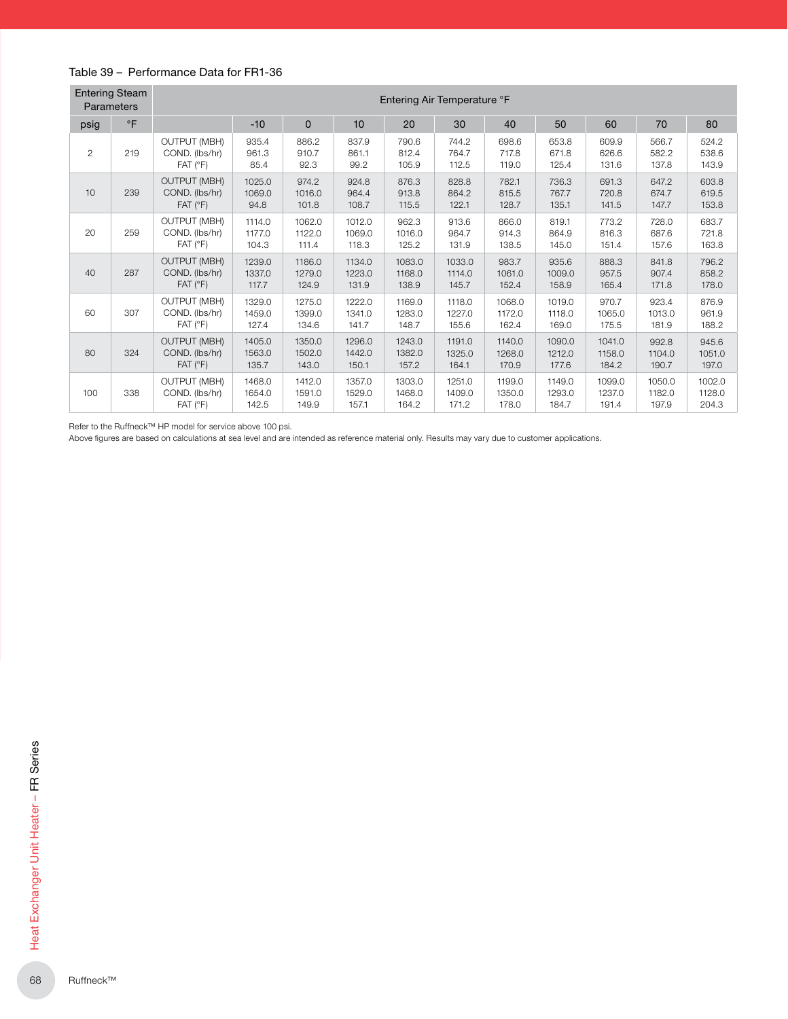#### Table 39 – Performance Data for FR1-36

| <b>Entering Steam</b><br>Parameters |           | Entering Air Temperature °F                                      |                           |                           |                           |                           |                           |                           |                           |                           |                           |                           |
|-------------------------------------|-----------|------------------------------------------------------------------|---------------------------|---------------------------|---------------------------|---------------------------|---------------------------|---------------------------|---------------------------|---------------------------|---------------------------|---------------------------|
| psig                                | $\circ$ F |                                                                  | $-10$                     | $\mathbf 0$               | 10                        | 20                        | 30                        | 40                        | 50                        | 60                        | 70                        | 80                        |
| $\overline{2}$                      | 219       | <b>OUTPUT (MBH)</b><br>COND. (lbs/hr)<br>$FAT$ ( ${}^{\circ}F$ ) | 935.4<br>961.3<br>85.4    | 886.2<br>910.7<br>92.3    | 837.9<br>861.1<br>99.2    | 790.6<br>812.4<br>105.9   | 744.2<br>764.7<br>112.5   | 698.6<br>717.8<br>119.0   | 653.8<br>671.8<br>125.4   | 609.9<br>626.6<br>131.6   | 566.7<br>582.2<br>137.8   | 524.2<br>538.6<br>143.9   |
| 10                                  | 239       | <b>OUTPUT (MBH)</b><br>COND. (lbs/hr)<br>$FAT$ ( ${}^{\circ}F$ ) | 1025.0<br>1069.0<br>94.8  | 974.2<br>1016.0<br>101.8  | 924.8<br>964.4<br>108.7   | 876.3<br>913.8<br>115.5   | 828.8<br>864.2<br>122.1   | 782.1<br>815.5<br>128.7   | 736.3<br>767.7<br>135.1   | 691.3<br>720.8<br>141.5   | 647.2<br>674.7<br>147.7   | 603.8<br>619.5<br>153.8   |
| 20                                  | 259       | <b>OUTPUT (MBH)</b><br>COND. (lbs/hr)<br>$FAT$ ( ${}^{\circ}F$ ) | 1114.0<br>1177.0<br>104.3 | 1062.0<br>1122.0<br>111.4 | 1012.0<br>1069.0<br>118.3 | 962.3<br>1016.0<br>125.2  | 913.6<br>964.7<br>131.9   | 866.0<br>914.3<br>138.5   | 819.1<br>864.9<br>145.0   | 773.2<br>816.3<br>151.4   | 728.0<br>687.6<br>157.6   | 683.7<br>721.8<br>163.8   |
| 40                                  | 287       | <b>OUTPUT (MBH)</b><br>COND. (lbs/hr)<br>$FAT$ ( ${}^{\circ}F$ ) | 1239.0<br>1337.0<br>117.7 | 1186.0<br>1279.0<br>124.9 | 1134.0<br>1223.0<br>131.9 | 1083.0<br>1168.0<br>138.9 | 1033.0<br>1114.0<br>145.7 | 983.7<br>1061.0<br>152.4  | 935.6<br>1009.0<br>158.9  | 888.3<br>957.5<br>165.4   | 841.8<br>907.4<br>171.8   | 796.2<br>858.2<br>178.0   |
| 60                                  | 307       | <b>OUTPUT (MBH)</b><br>COND. (lbs/hr)<br>$FAT$ ( ${}^{\circ}F$ ) | 1329.0<br>1459.0<br>127.4 | 1275.0<br>1399.0<br>134.6 | 1222.0<br>1341.0<br>141.7 | 1169.0<br>1283.0<br>148.7 | 1118.0<br>1227.0<br>155.6 | 1068.0<br>1172.0<br>162.4 | 1019.0<br>1118.0<br>169.0 | 970.7<br>1065.0<br>175.5  | 923.4<br>1013.0<br>181.9  | 876.9<br>961.9<br>188.2   |
| 80                                  | 324       | <b>OUTPUT (MBH)</b><br>COND. (lbs/hr)<br>$FAT$ ( ${}^{\circ}F$ ) | 1405.0<br>1563.0<br>135.7 | 1350.0<br>1502.0<br>143.0 | 1296.0<br>1442.0<br>150.1 | 1243.0<br>1382.0<br>157.2 | 1191.0<br>1325.0<br>164.1 | 1140.0<br>1268.0<br>170.9 | 1090.0<br>1212.0<br>177.6 | 1041.0<br>1158.0<br>184.2 | 992.8<br>1104.0<br>190.7  | 945.6<br>1051.0<br>197.0  |
| 100                                 | 338       | <b>OUTPUT (MBH)</b><br>COND. (lbs/hr)<br>$FAT$ ( ${}^{\circ}F$ ) | 1468.0<br>1654.0<br>142.5 | 1412.0<br>1591.0<br>149.9 | 1357.0<br>1529.0<br>157.1 | 1303.0<br>1468.0<br>164.2 | 1251.0<br>1409.0<br>171.2 | 1199.0<br>1350.0<br>178.0 | 1149.0<br>1293.0<br>184.7 | 1099.0<br>1237.0<br>191.4 | 1050.0<br>1182.0<br>197.9 | 1002.0<br>1128.0<br>204.3 |

Refer to the Ruffneck™ HP model for service above 100 psi.

Above figures are based on calculations at sea level and are intended as reference material only. Results may vary due to customer applications.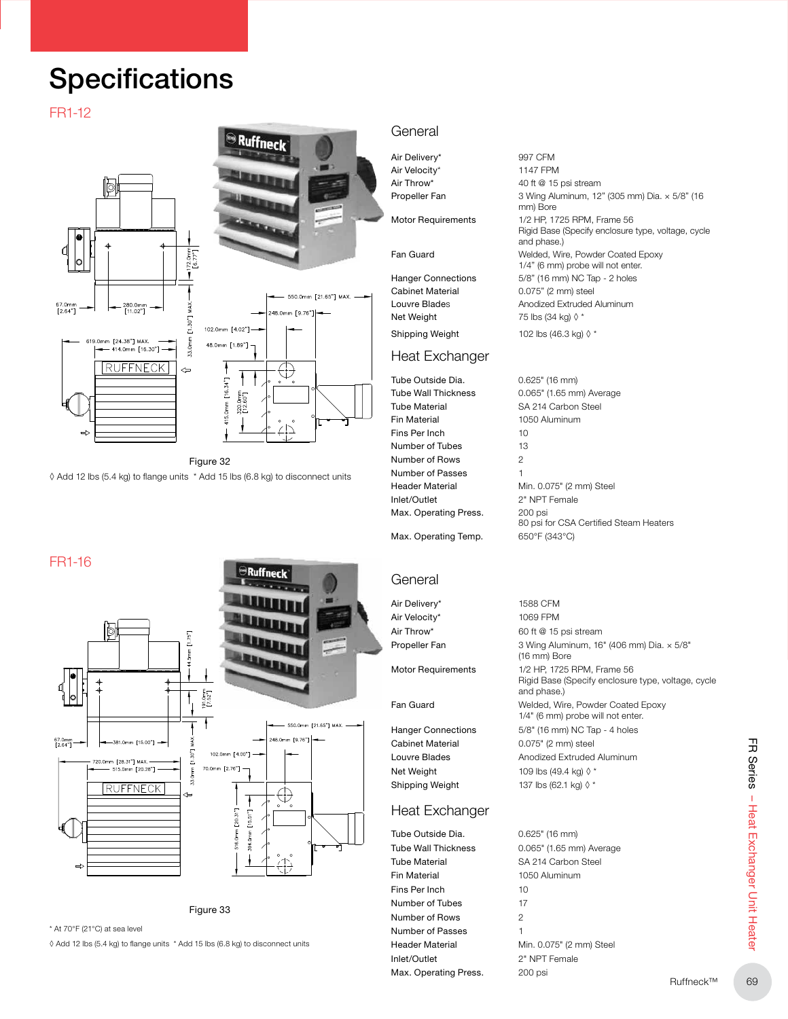### **Specifications**

#### FR1-12







Figure 32 ◊ Add 12 lbs (5.4 kg) to flange units \* Add 15 lbs (6.8 kg) to disconnect units

#### FR1-16





\* At 70°F (21°C) at sea level

◊ Add 12 lbs (5.4 kg) to flange units \* Add 15 lbs (6.8 kg) to disconnect units

#### **General**

Air Delivery\* 997 CFM Air Velocity\* 1147 FPM Air Throw\* 40 ft @ 15 psi stream Propeller Fan 3 Wing Aluminum, 12" (305 mm) Dia. × 5/8" (16

Motor Requirements 1/2 HP, 1725 RPM, Frame 56

Fan Guard Welded, Wire, Powder Coated Epoxy

Hanger Connections 5/8" (16 mm) NC Tap - 2 holes Cabinet Material 0.075" (2 mm) steel Net Weight  $75$  lbs (34 kg)  $\lozenge$  \*

#### Heat Exchanger

Tube Outside Dia. 0.625" (16 mm) Tube Material SA 214 Carbon Steel Fin Material 1050 Aluminum Fins Per Inch 10 Number of Tubes 13 Number of Rows 2 Number of Passes 1 Inlet/Outlet 2" NPT Female Max. Operating Press. 200 psi

Louvre Blades Anodized Extruded Aluminum Shipping Weight  $102$  lbs (46.3 kg)  $\Diamond$  \* Tube Wall Thickness 0.065" (1.65 mm) Average

1/4" (6 mm) probe will not enter.

Rigid Base (Specify enclosure type, voltage, cycle

mm) Bore

and phase.)

Header Material Min. 0.075" (2 mm) Steel 80 psi for CSA Certified Steam Heaters Max. Operating Temp. 650°F (343°C)

### **General**

Air Delivery\* 1588 CFM Air Velocity\* 1069 FPM

Cabinet Material 0.075" (2 mm) steel Net Weight  $109$  lbs (49.4 kg)  $\lozenge$  \* Shipping Weight  $137$  lbs (62.1 kg)  $\Diamond$  \*

#### Heat Exchanger

Tube Outside Dia. 60.625" (16 mm) Tube Material SA 214 Carbon Steel Fin Material 1050 Aluminum Fins Per Inch 10 Number of Tubes 17 Number of Rows 2 Number of Passes 1 Inlet/Outlet 2" NPT Female Max. Operating Press. 200 psi

Air Throw\* 60 ft @ 15 psi stream Propeller Fan 3 Wing Aluminum, 16" (406 mm) Dia.  $\times$  5/8" (16 mm) Bore Motor Requirements 1/2 HP, 1725 RPM, Frame 56 Rigid Base (Specify enclosure type, voltage, cycle and phase.) Fan Guard Welded, Wire, Powder Coated Epoxy 1/4" (6 mm) probe will not enter. Hanger Connections 5/8" (16 mm) NC Tap - 4 holes Louvre Blades **Anodized Extruded Aluminum** 

Tube Wall Thickness 0.065" (1.65 mm) Average Header Material Min. 0.075" (2 mm) Steel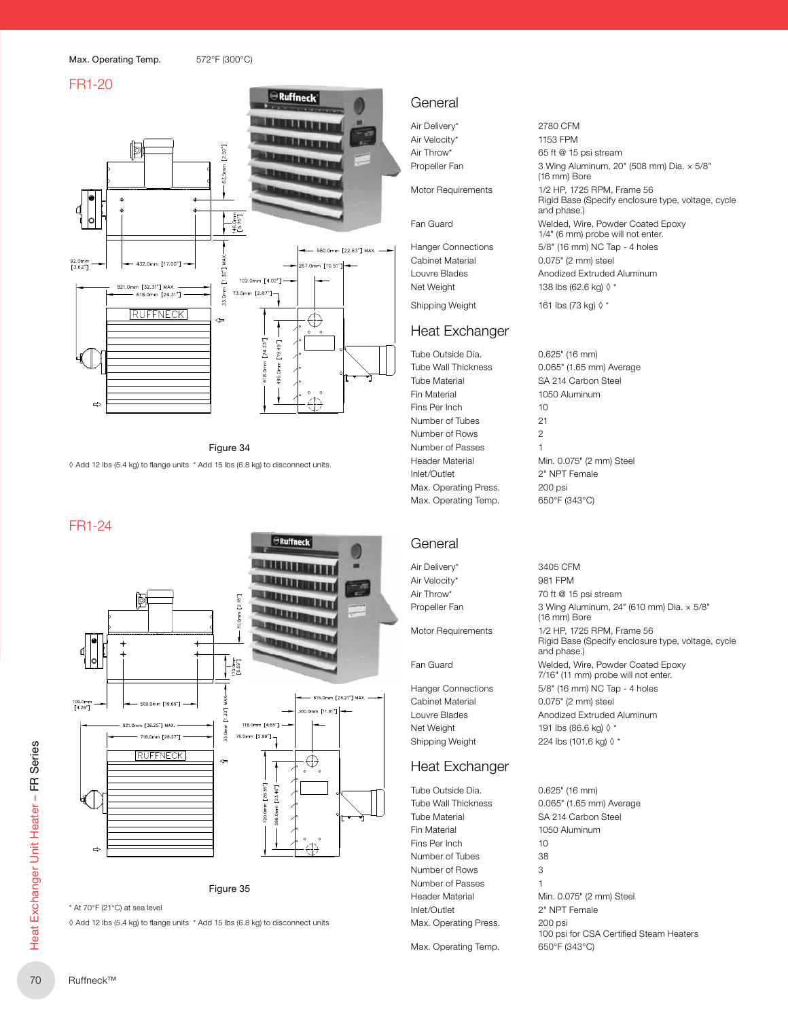#### FR1-20



Figure 34 ◊ Add 12 lbs (5.4 kg) to flange units \* Add 15 lbs (6.8 kg) to disconnect units.

#### FR1-24





\* At 70°F (21°C) at sea level

◊ Add 12 lbs (5.4 kg) to flange units \* Add 15 lbs (6.8 kg) to disconnect units

#### General

Air Delivery\* 2780 CFM Air Velocity\* 1153 FPM

### Heat Exchanger

Tube Outside Dia. 0.625" (16 mm) Tube Material SA 214 Carbon Steel Fin Material 1050 Aluminum Fins Per Inch 10 Number of Tubes 21 Number of Rows 2 Number of Passes 1 Inlet/Outlet 2" NPT Female Max. Operating Press. 200 psi Max. Operating Temp. 650°F (343°C)

#### General

Air Delivery\* 3405 CFM Air Velocity\* 981 FPM

Cabinet Material 0.075" (2 mm) steel Net Weight 191 lbs (86.6 kg)  $\lozenge$  \* Shipping Weight 224 lbs (101.6 kg) ◊ \*

#### Heat Exchanger

Tube Outside Dia. 0.625" (16 mm) Tube Material SA 214 Carbon Steel Fin Material 1050 Aluminum Fins Per Inch 10 Number of Tubes 38 Number of Rows 3 Number of Passes 1 Inlet/Outlet 2" NPT Female Max. Operating Press. 200 psi

Air Throw\* 65 ft @ 15 psi stream Propeller Fan 3 Wing Aluminum, 20" (508 mm) Dia. × 5/8" (16 mm) Bore Motor Requirements 1/2 HP, 1725 RPM, Frame 56 Rigid Base (Specify enclosure type, voltage, cycle and phase.) Fan Guard Welded, Wire, Powder Coated Epoxy 1/4" (6 mm) probe will not enter. Hanger Connections 5/8" (16 mm) NC Tap - 4 holes Cabinet Material 0.075" (2 mm) steel Louvre Blades **Anodized Extruded Aluminum** Net Weight  $138$  lbs (62.6 kg)  $\lozenge$  \*

Shipping Weight 161 lbs (73 kg) ◊ \*

Tube Wall Thickness 0.065" (1.65 mm) Average Header Material Min. 0.075" (2 mm) Steel

Air Throw\* 70 ft @ 15 psi stream Propeller Fan 3 Wing Aluminum, 24" (610 mm) Dia.  $\times$  5/8" (16 mm) Bore Motor Requirements 1/2 HP, 1725 RPM, Frame 56 Rigid Base (Specify enclosure type, voltage, cycle and phase.) Fan Guard Welded, Wire, Powder Coated Epoxy 7/16" (11 mm) probe will not enter. Hanger Connections 5/8" (16 mm) NC Tap - 4 holes Louvre Blades **Anodized Extruded Aluminum** 

Tube Wall Thickness 0.065" (1.65 mm) Average Header Material Min. 0.075" (2 mm) Steel 100 psi for CSA Certified Steam Heaters Max. Operating Temp. 650°F (343°C)